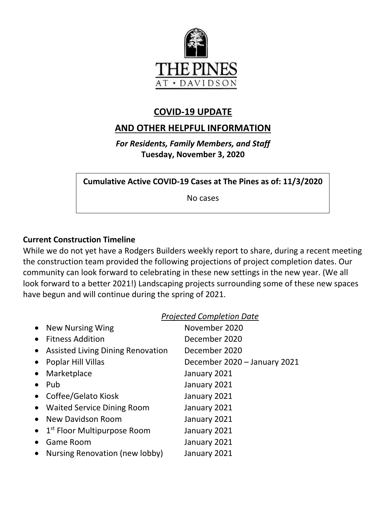

## **COVID-19 UPDATE**

# **AND OTHER HELPFUL INFORMATION**

*For Residents, Family Members, and Staff* **Tuesday, November 3, 2020**

**Cumulative Active COVID-19 Cases at The Pines as of: 11/3/2020**

No cases

### **Current Construction Timeline**

While we do not yet have a Rodgers Builders weekly report to share, during a recent meeting the construction team provided the following projections of project completion dates. Our community can look forward to celebrating in these new settings in the new year. (We all look forward to a better 2021!) Landscaping projects surrounding some of these new spaces have begun and will continue during the spring of 2021.

#### *Projected Completion Date*

| $\bullet$ | <b>New Nursing Wing</b>                           | November 2020                |
|-----------|---------------------------------------------------|------------------------------|
|           | <b>Fitness Addition</b>                           | December 2020                |
| $\bullet$ | <b>Assisted Living Dining Renovation</b>          | December 2020                |
|           | Poplar Hill Villas                                | December 2020 - January 2021 |
|           | Marketplace                                       | January 2021                 |
|           | Pub                                               | January 2021                 |
|           | Coffee/Gelato Kiosk                               | January 2021                 |
|           | • Waited Service Dining Room                      | January 2021                 |
|           | New Davidson Room                                 | January 2021                 |
|           | $\bullet$ 1 <sup>st</sup> Floor Multipurpose Room | January 2021                 |
|           | <b>Game Room</b>                                  | January 2021                 |
|           | Nursing Renovation (new lobby)                    | January 2021                 |